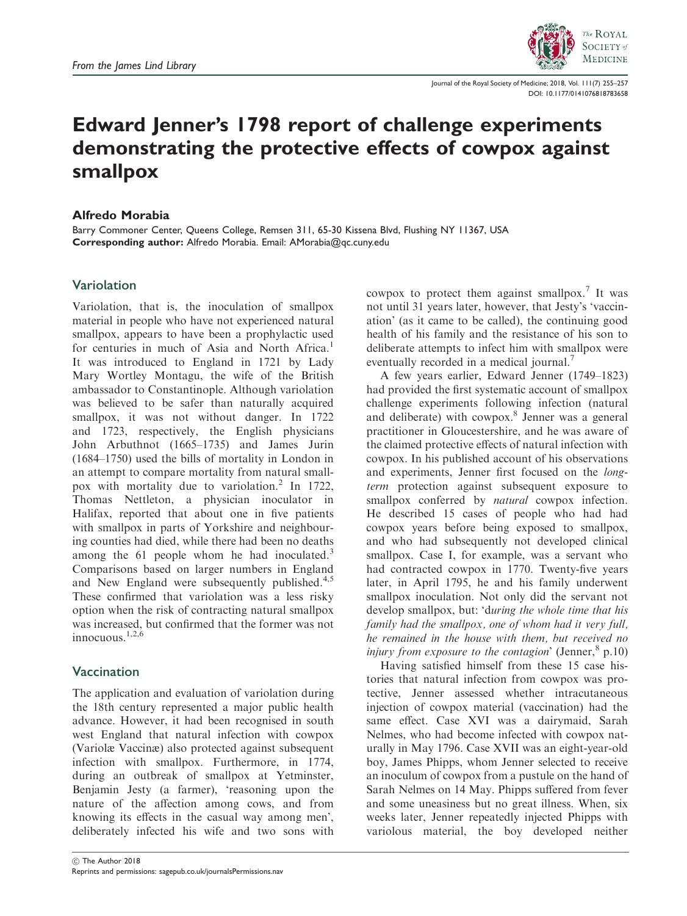

Journal of the Royal Society of Medicine; 2018, Vol. 111(7) 255–257 [DOI: 10.1177/0141076818783658](https://doi.org/10.1177/0141076818783658)

# Edward Jenner's 1798 report of challenge experiments demonstrating the protective effects of cowpox against smallpox

#### Alfredo Morabia

Barry Commoner Center, Queens College, Remsen 311, 65-30 Kissena Blvd, Flushing NY 11367, USA Corresponding author: Alfredo Morabia. Email: AMorabia@qc.cuny.edu

## Variolation

Variolation, that is, the inoculation of smallpox material in people who have not experienced natural smallpox, appears to have been a prophylactic used for centuries in much of Asia and North Africa.<sup>1</sup> It was introduced to England in 1721 by Lady Mary Wortley Montagu, the wife of the British ambassador to Constantinople. Although variolation was believed to be safer than naturally acquired smallpox, it was not without danger. In 1722 and 1723, respectively, the English physicians John Arbuthnot (1665–1735) and James Jurin (1684–1750) used the bills of mortality in London in an attempt to compare mortality from natural smallpox with mortality due to variolation.<sup>2</sup> In 1722, Thomas Nettleton, a physician inoculator in Halifax, reported that about one in five patients with smallpox in parts of Yorkshire and neighbouring counties had died, while there had been no deaths among the 61 people whom he had inoculated.<sup>3</sup> Comparisons based on larger numbers in England and New England were subsequently published. $4,5$ These confirmed that variolation was a less risky option when the risk of contracting natural smallpox was increased, but confirmed that the former was not innocuous.1,2,6

### Vaccination

The application and evaluation of variolation during the 18th century represented a major public health advance. However, it had been recognised in south west England that natural infection with cowpox (Variolæ Vaccinæ) also protected against subsequent infection with smallpox. Furthermore, in 1774, during an outbreak of smallpox at Yetminster, Benjamin Jesty (a farmer), 'reasoning upon the nature of the affection among cows, and from knowing its effects in the casual way among men', deliberately infected his wife and two sons with

cowpox to protect them against smallpox.<sup>7</sup> It was not until 31 years later, however, that Jesty's 'vaccination' (as it came to be called), the continuing good health of his family and the resistance of his son to deliberate attempts to infect him with smallpox were eventually recorded in a medical journal.<sup>7</sup>

A few years earlier, Edward Jenner (1749–1823) had provided the first systematic account of smallpox challenge experiments following infection (natural and deliberate) with cowpox.<sup>8</sup> Jenner was a general practitioner in Gloucestershire, and he was aware of the claimed protective effects of natural infection with cowpox. In his published account of his observations and experiments, Jenner first focused on the longterm protection against subsequent exposure to smallpox conferred by *natural* cowpox infection. He described 15 cases of people who had had cowpox years before being exposed to smallpox, and who had subsequently not developed clinical smallpox. Case I, for example, was a servant who had contracted cowpox in 1770. Twenty-five years later, in April 1795, he and his family underwent smallpox inoculation. Not only did the servant not develop smallpox, but: 'during the whole time that his family had the smallpox, one of whom had it very full, he remained in the house with them, but received no *injury from exposure to the contagion*' (Jenner,  $\delta$  p.10)

Having satisfied himself from these 15 case histories that natural infection from cowpox was protective, Jenner assessed whether intracutaneous injection of cowpox material (vaccination) had the same effect. Case XVI was a dairymaid, Sarah Nelmes, who had become infected with cowpox naturally in May 1796. Case XVII was an eight-year-old boy, James Phipps, whom Jenner selected to receive an inoculum of cowpox from a pustule on the hand of Sarah Nelmes on 14 May. Phipps suffered from fever and some uneasiness but no great illness. When, six weeks later, Jenner repeatedly injected Phipps with variolous material, the boy developed neither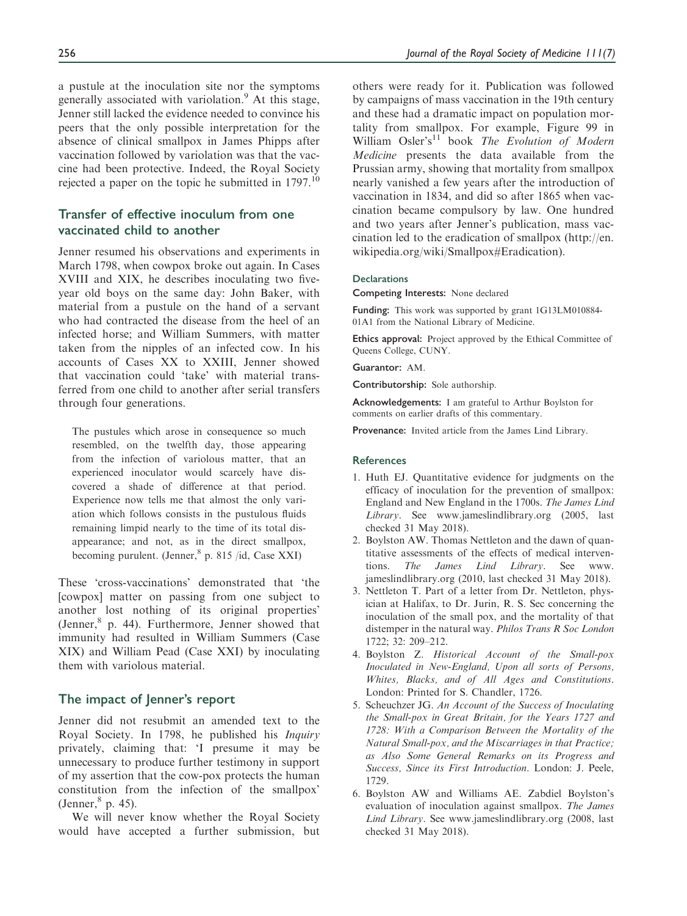a pustule at the inoculation site nor the symptoms generally associated with variolation.<sup>9</sup> At this stage, Jenner still lacked the evidence needed to convince his peers that the only possible interpretation for the absence of clinical smallpox in James Phipps after vaccination followed by variolation was that the vaccine had been protective. Indeed, the Royal Society rejected a paper on the topic he submitted in  $1797$ .<sup>10</sup>

## Transfer of effective inoculum from one vaccinated child to another

Jenner resumed his observations and experiments in March 1798, when cowpox broke out again. In Cases XVIII and XIX, he describes inoculating two fiveyear old boys on the same day: John Baker, with material from a pustule on the hand of a servant who had contracted the disease from the heel of an infected horse; and William Summers, with matter taken from the nipples of an infected cow. In his accounts of Cases XX to XXIII, Jenner showed that vaccination could 'take' with material transferred from one child to another after serial transfers through four generations.

The pustules which arose in consequence so much resembled, on the twelfth day, those appearing from the infection of variolous matter, that an experienced inoculator would scarcely have discovered a shade of difference at that period. Experience now tells me that almost the only variation which follows consists in the pustulous fluids remaining limpid nearly to the time of its total disappearance; and not, as in the direct smallpox, becoming purulent. (Jenner,  $8$  p. 815 /id, Case XXI)

These 'cross-vaccinations' demonstrated that 'the [cowpox] matter on passing from one subject to another lost nothing of its original properties' (Jenner, $8$  p. 44). Furthermore, Jenner showed that immunity had resulted in William Summers (Case XIX) and William Pead (Case XXI) by inoculating them with variolous material.

#### The impact of Jenner's report

Jenner did not resubmit an amended text to the Royal Society. In 1798, he published his Inquiry privately, claiming that: 'I presume it may be unnecessary to produce further testimony in support of my assertion that the cow-pox protects the human constitution from the infection of the smallpox' (Jenner, $8$  p. 45).

We will never know whether the Royal Society would have accepted a further submission, but others were ready for it. Publication was followed by campaigns of mass vaccination in the 19th century and these had a dramatic impact on population mortality from smallpox. For example, Figure 99 in William Osler's<sup>11</sup> book The Evolution of Modern Medicine presents the data available from the Prussian army, showing that mortality from smallpox nearly vanished a few years after the introduction of vaccination in 1834, and did so after 1865 when vaccination became compulsory by law. One hundred and two years after Jenner's publication, mass vaccination led to the eradication of smallpox ([http://en.](http://en.wikipedia.org/wiki/Smallpox#Eradication) [wikipedia.org/wiki/Smallpox#Eradication](http://en.wikipedia.org/wiki/Smallpox#Eradication)).

#### **Declarations**

Competing Interests: None declared

Funding: This work was supported by grant 1G13LM010884- 01A1 from the National Library of Medicine.

Ethics approval: Project approved by the Ethical Committee of Queens College, CUNY.

Guarantor: AM.

Contributorship: Sole authorship.

Acknowledgements: I am grateful to Arthur Boylston for comments on earlier drafts of this commentary.

Provenance: Invited article from the James Lind Library.

#### **References**

- 1. Huth EJ. Quantitative evidence for judgments on the efficacy of inoculation for the prevention of smallpox: England and New England in the 1700s. The James Lind Library. See<www.jameslindlibrary.org> (2005, last checked 31 May 2018).
- 2. Boylston AW. Thomas Nettleton and the dawn of quantitative assessments of the effects of medical interventions. The James Lind Library. See [www.](www.jameslindlibrary.org) [jameslindlibrary.org](www.jameslindlibrary.org) (2010, last checked 31 May 2018).
- 3. Nettleton T. Part of a letter from Dr. Nettleton, physician at Halifax, to Dr. Jurin, R. S. Sec concerning the inoculation of the small pox, and the mortality of that distemper in the natural way. Philos Trans R Soc London 1722; 32: 209–212.
- 4. Boylston Z. Historical Account of the Small-pox Inoculated in New-England, Upon all sorts of Persons, Whites, Blacks, and of All Ages and Constitutions. London: Printed for S. Chandler, 1726.
- 5. Scheuchzer JG. An Account of the Success of Inoculating the Small-pox in Great Britain, for the Years 1727 and 1728: With a Comparison Between the Mortality of the Natural Small-pox, and the Miscarriages in that Practice; as Also Some General Remarks on its Progress and Success, Since its First Introduction. London: J. Peele, 1729.
- 6. Boylston AW and Williams AE. Zabdiel Boylston's evaluation of inoculation against smallpox. The James Lind Library. See<www.jameslindlibrary.org> (2008, last checked 31 May 2018).